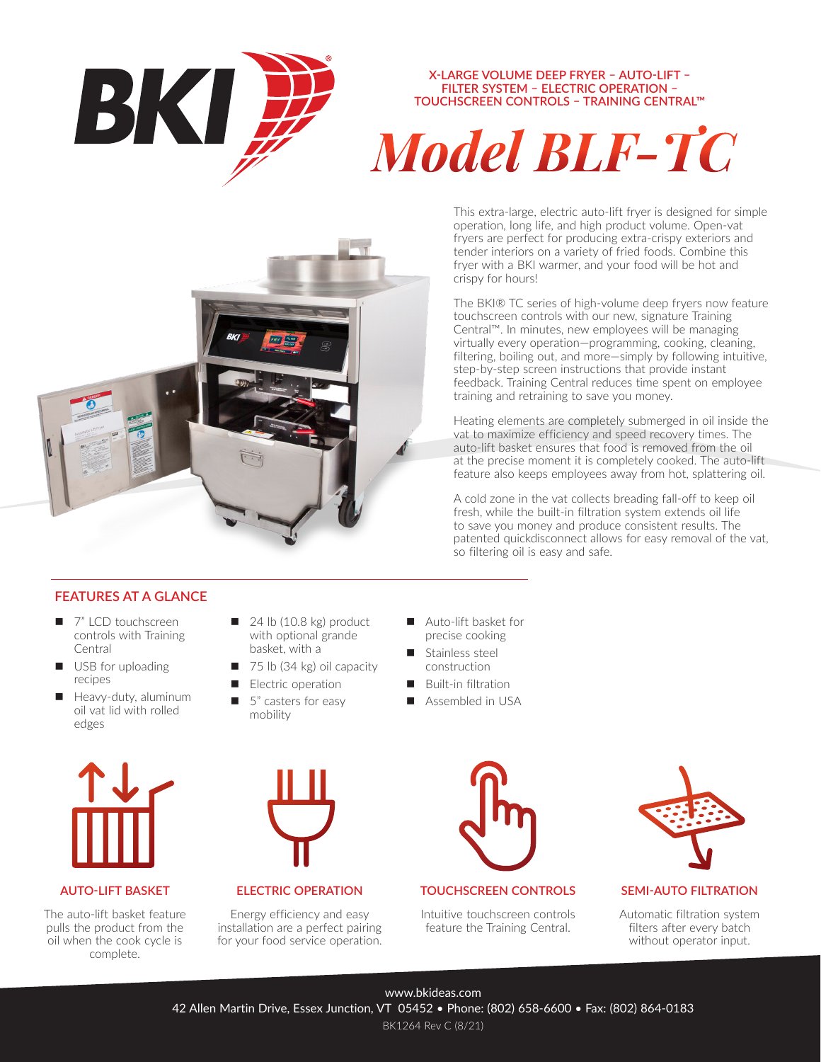

**X-LARGE VOLUME DEEP FRYER – AUTO-LIFT – FILTER SYSTEM – ELECTRIC OPERATION – TOUCHSCREEN CONTROLS – TRAINING CENTRAL™**

# *Model BLF-TC*



## **FEATURES AT A GLANCE**

- 7" LCD touchscreen controls with Training Central
- USB for uploading recipes
- Heavy-duty, aluminum oil vat lid with rolled edges
- $\blacksquare$  24 lb (10.8 kg) product with optional grande basket, with a
- $\blacksquare$  75 lb (34 kg) oil capacity
- Electric operation 5" casters for easy
- mobility
- Auto-lift basket for precise cooking
- Stainless steel construction
- Built-in filtration
- Assembled in USA



#### **AUTO-LIFT BASKET**

The auto-lift basket feature pulls the product from the oil when the cook cycle is complete.



## **ELECTRIC OPERATION**

Energy efficiency and easy installation are a perfect pairing for your food service operation.



Intuitive touchscreen controls feature the Training Central.



## **SEMI-AUTO FILTRATION**

Automatic filtration system filters after every batch without operator input.

This extra-large, electric auto-lift fryer is designed for simple operation, long life, and high product volume. Open-vat fryers are perfect for producing extra-crispy exteriors and tender interiors on a variety of fried foods. Combine this fryer with a BKI warmer, and your food will be hot and crispy for hours!

The BKI® TC series of high-volume deep fryers now feature touchscreen controls with our new, signature Training Central™. In minutes, new employees will be managing virtually every operation—programming, cooking, cleaning, filtering, boiling out, and more—simply by following intuitive, step-by-step screen instructions that provide instant feedback. Training Central reduces time spent on employee training and retraining to save you money.

Heating elements are completely submerged in oil inside the vat to maximize efficiency and speed recovery times. The auto-lift basket ensures that food is removed from the oil at the precise moment it is completely cooked. The auto-lift feature also keeps employees away from hot, splattering oil.

A cold zone in the vat collects breading fall-off to keep oil fresh, while the built-in filtration system extends oil life to save you money and produce consistent results. The patented quickdisconnect allows for easy removal of the vat, so filtering oil is easy and safe.